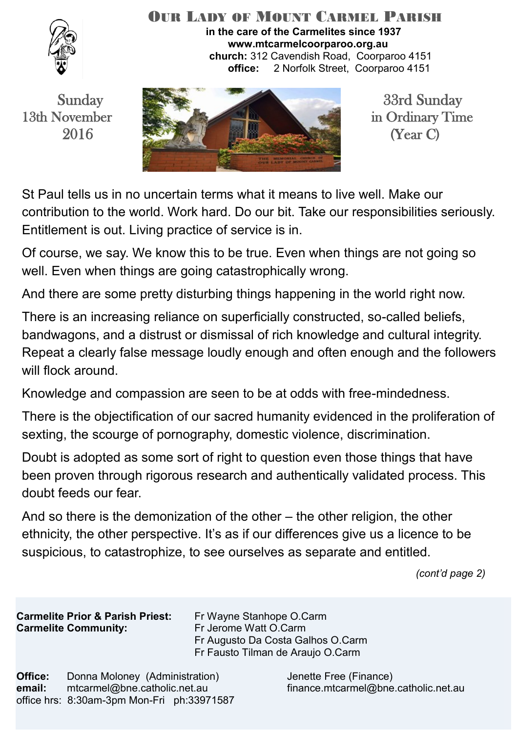

#### OUR LADY OF MOUNT CARMEL PARISH **in the care of the Carmelites since 1937 www.mtcarmelcoorparoo.org.au church:** 312 Cavendish Road, Coorparoo 4151 **office:** 2 Norfolk Street, Coorparoo 4151



St Paul tells us in no uncertain terms what it means to live well. Make our contribution to the world. Work hard. Do our bit. Take our responsibilities seriously. Entitlement is out. Living practice of service is in.

Of course, we say. We know this to be true. Even when things are not going so well. Even when things are going catastrophically wrong.

And there are some pretty disturbing things happening in the world right now.

There is an increasing reliance on superficially constructed, so-called beliefs, bandwagons, and a distrust or dismissal of rich knowledge and cultural integrity. Repeat a clearly false message loudly enough and often enough and the followers will flock around.

Knowledge and compassion are seen to be at odds with free-mindedness.

There is the objectification of our sacred humanity evidenced in the proliferation of sexting, the scourge of pornography, domestic violence, discrimination.

Doubt is adopted as some sort of right to question even those things that have been proven through rigorous research and authentically validated process. This doubt feeds our fear.

And so there is the demonization of the other – the other religion, the other ethnicity, the other perspective. It's as if our differences give us a licence to be suspicious, to catastrophize, to see ourselves as separate and entitled.

*(cont'd page 2)*

**Carmelite Prior & Parish Priest:** Fr Wayne Stanhope O.Carm **Carmelite Community:** Fr Jerome Watt O.Carm

 Fr Augusto Da Costa Galhos O.Carm Fr Fausto Tilman de Araujo O.Carm

**Office:** Donna Moloney (Administration) Jenette Free (Finance) **email:** mtcarmel@bne.catholic.net.au finance.mtcarmel@bne.catholic.net.au office hrs: 8:30am-3pm Mon-Fri ph:33971587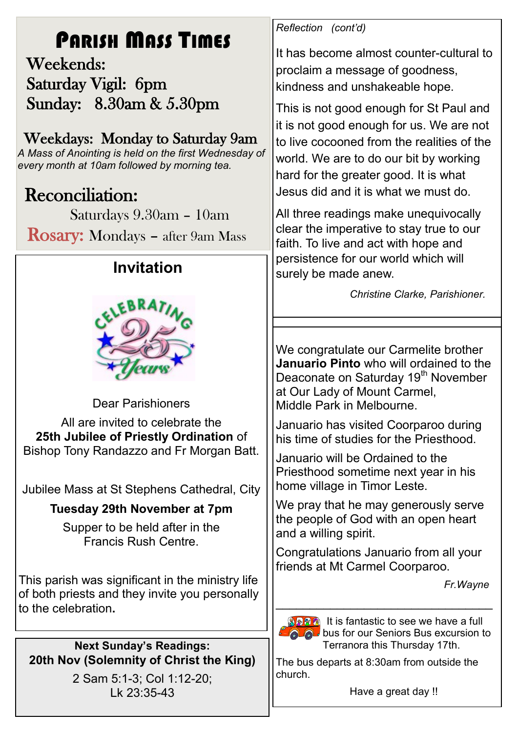# PARISH MASS TIMES

 Weekends: Saturday Vigil: 6pm Sunday: 8.30am & 5.30pm

## Weekdays: Monday to Saturday 9am

*A Mass of Anointing is held on the first Wednesday of every month at 10am followed by morning tea.*

# **Reconciliation:**

Saturdays 9.30am – 10am

Rosary: Mondays – after 9am Mass

# **Invitation**



Dear Parishioners All are invited to celebrate the **25th Jubilee of Priestly Ordination** of Bishop Tony Randazzo and Fr Morgan Batt.

Jubilee Mass at St Stephens Cathedral, City

### **Tuesday 29th November at 7pm**

Supper to be held after in the Francis Rush Centre.

This parish was significant in the ministry life of both priests and they invite you personally to the celebration**.**

**Next Sunday's Readings: 20th Nov (Solemnity of Christ the King)**

2 Sam 5:1-3; Col 1:12-20; Lk 23:35-43

*Reflection (cont'd)*

It has become almost counter-cultural to proclaim a message of goodness, kindness and unshakeable hope.

This is not good enough for St Paul and it is not good enough for us. We are not to live cocooned from the realities of the world. We are to do our bit by working hard for the greater good. It is what Jesus did and it is what we must do.

All three readings make unequivocally clear the imperative to stay true to our faith. To live and act with hope and persistence for our world which will surely be made anew.

*Christine Clarke, Parishioner.*

We congratulate our Carmelite brother **Januario Pinto** who will ordained to the Deaconate on Saturday 19<sup>th</sup> November at Our Lady of Mount Carmel, Middle Park in Melbourne.

Januario has visited Coorparoo during his time of studies for the Priesthood.

Januario will be Ordained to the Priesthood sometime next year in his home village in Timor Leste.

We pray that he may generously serve the people of God with an open heart and a willing spirit.

Congratulations Januario from all your friends at Mt Carmel Coorparoo.

\_\_\_\_\_\_\_\_\_\_\_\_\_\_\_\_\_\_\_\_\_\_\_\_\_\_\_\_\_\_\_\_

*Fr.Wayne*



**BRAN** It is fantastic to see we have a full **bus for our Seniors Bus excursion to** Terranora this Thursday 17th.

The bus departs at 8:30am from outside the church.

Have a great day !!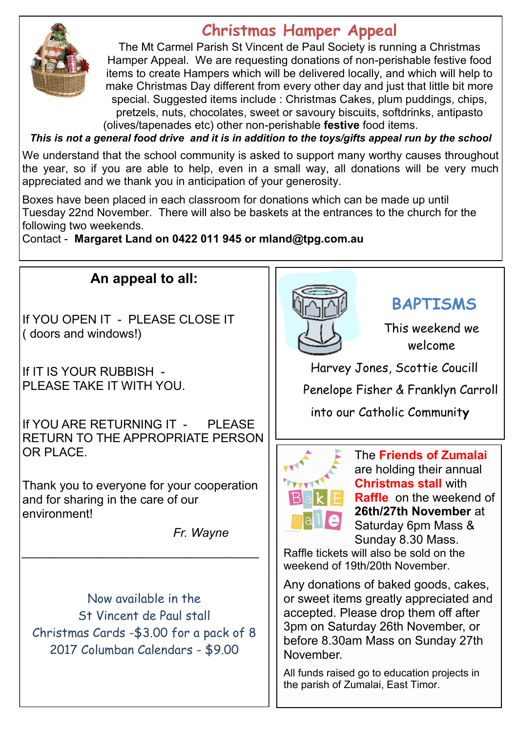

## **Christmas Hamper Appeal**

The Mt Carmel Parish St Vincent de Paul Society is running a Christmas Hamper Appeal. We are requesting donations of non-perishable festive food items to create Hampers which will be delivered locally, and which will help to make Christmas Day different from every other day and just that little bit more special. Suggested items include : Christmas Cakes, plum puddings, chips, pretzels, nuts, chocolates, sweet or savoury biscuits, softdrinks, antipasto (olives/tapenades etc) other non-perishable **festive** food items.

*This is not a general food drive and it is in addition to the toys/gifts appeal run by the school*

We understand that the school community is asked to support many worthy causes throughout the year, so if you are able to help, even in a small way, all donations will be very much appreciated and we thank you in anticipation of your generosity.

Boxes have been placed in each classroom for donations which can be made up until Tuesday 22nd November. There will also be baskets at the entrances to the church for the following two weekends.

Contact - **Margaret Land on 0422 011 945 or mland@tpg.com.au** 

### **An appeal to all:**

If YOU OPEN IT - PLEASE CLOSE IT ( doors and windows!)

If IT IS YOUR RUBBISH - PLEASE TAKE IT WITH YOU.

If YOU ARE RETURNING IT - PI FASE RETURN TO THE APPROPRIATE PERSON OR PLACE.

Thank you to everyone for your cooperation and for sharing in the care of our environment!

*\_\_\_\_\_\_\_\_\_\_\_\_\_\_\_\_\_\_\_\_\_\_\_\_\_\_\_\_\_\_\_\_\_\_\_*

*Fr. Wayne*

Now available in the St Vincent de Paul stall Christmas Cards -\$3.00 for a pack of 8 2017 Columban Calendars - \$9.00



## **BAPTISMS**

This weekend we welcome

Harvey Jones, Scottie Coucill

Penelope Fisher & Franklyn Carroll

into our Catholic Communit**y**



The **Friends of Zumalai**  are holding their annual **Christmas stall** with **Raffle** on the weekend of **26th/27th November** at Saturday 6pm Mass & Sunday 8.30 Mass.

Raffle tickets will also be sold on the weekend of 19th/20th November.

Any donations of baked goods, cakes, or sweet items greatly appreciated and accepted. Please drop them off after 3pm on Saturday 26th November, or before 8.30am Mass on Sunday 27th November.

All funds raised go to education projects in the parish of Zumalai, East Timor.